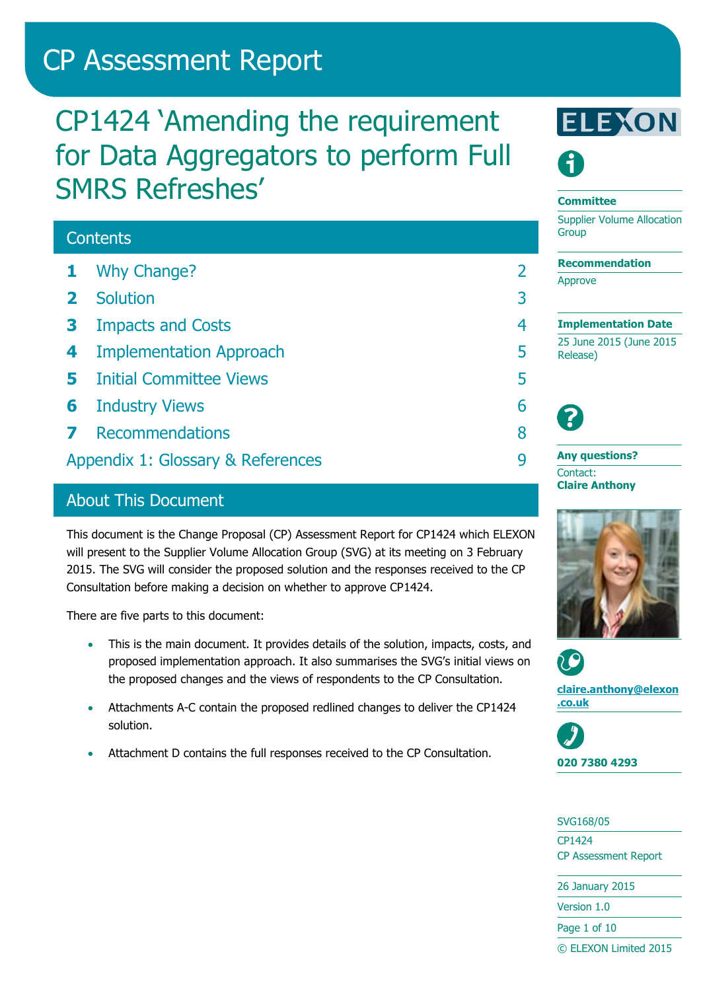# CP Assessment Report

# CP1424 'Amending the requirement for Data Aggregators to perform Full SMRS Refreshes'

## **Contents 1** [Why Change?](#page-1-0) 2 **2** [Solution](#page-2-0) 3 **3** [Impacts and Costs](#page-3-0) 4 **4** [Implementation Approach](#page-4-0) 5 **5** [Initial Committee Views](#page-4-1) 5 **6** [Industry Views](#page-5-0) 6 **7** [Recommendations](#page-7-0) 8 [Appendix 1: Glossary & References](#page-8-0) 9

## About This Document

This document is the Change Proposal (CP) Assessment Report for CP1424 which ELEXON will present to the Supplier Volume Allocation Group (SVG) at its meeting on 3 February 2015. The SVG will consider the proposed solution and the responses received to the CP Consultation before making a decision on whether to approve CP1424.

There are five parts to this document:

- This is the main document. It provides details of the solution, impacts, costs, and proposed implementation approach. It also summarises the SVG's initial views on the proposed changes and the views of respondents to the CP Consultation.
- Attachments A-C contain the proposed redlined changes to deliver the CP1424 solution.
- Attachment D contains the full responses received to the CP Consultation.



#### **Committee**

Supplier Volume Allocation **Group** 

**Recommendation** Approve

**Implementation Date** 25 June 2015 (June 2015 Release)



**Any questions?** Contact: **Claire Anthony**





**[claire.anthony@elexon](mailto:claire.anthony@elexon.co.uk) [.co.uk](mailto:claire.anthony@elexon.co.uk)**



SVG168/05 CP1424 CP Assessment Report

26 January 2015 Version 1.0

Page 1 of 10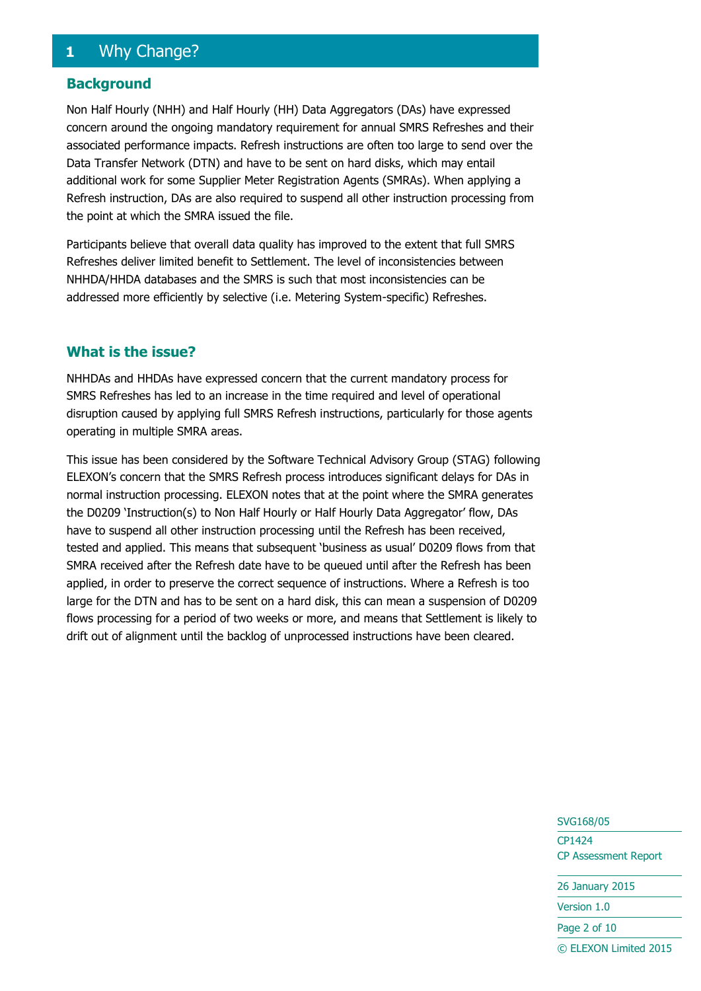## <span id="page-1-0"></span>**1** Why Change?

#### **Background**

Non Half Hourly (NHH) and Half Hourly (HH) Data Aggregators (DAs) have expressed concern around the ongoing mandatory requirement for annual SMRS Refreshes and their associated performance impacts. Refresh instructions are often too large to send over the Data Transfer Network (DTN) and have to be sent on hard disks, which may entail additional work for some Supplier Meter Registration Agents (SMRAs). When applying a Refresh instruction, DAs are also required to suspend all other instruction processing from the point at which the SMRA issued the file.

Participants believe that overall data quality has improved to the extent that full SMRS Refreshes deliver limited benefit to Settlement. The level of inconsistencies between NHHDA/HHDA databases and the SMRS is such that most inconsistencies can be addressed more efficiently by selective (i.e. Metering System-specific) Refreshes.

### **What is the issue?**

NHHDAs and HHDAs have expressed concern that the current mandatory process for SMRS Refreshes has led to an increase in the time required and level of operational disruption caused by applying full SMRS Refresh instructions, particularly for those agents operating in multiple SMRA areas.

This issue has been considered by the Software Technical Advisory Group (STAG) following ELEXON's concern that the SMRS Refresh process introduces significant delays for DAs in normal instruction processing. ELEXON notes that at the point where the SMRA generates the D0209 'Instruction(s) to Non Half Hourly or Half Hourly Data Aggregator' flow, DAs have to suspend all other instruction processing until the Refresh has been received, tested and applied. This means that subsequent 'business as usual' D0209 flows from that SMRA received after the Refresh date have to be queued until after the Refresh has been applied, in order to preserve the correct sequence of instructions. Where a Refresh is too large for the DTN and has to be sent on a hard disk, this can mean a suspension of D0209 flows processing for a period of two weeks or more, and means that Settlement is likely to drift out of alignment until the backlog of unprocessed instructions have been cleared.

> SVG168/05 CP1424 CP Assessment Report

26 January 2015

Version 1.0

Page 2 of 10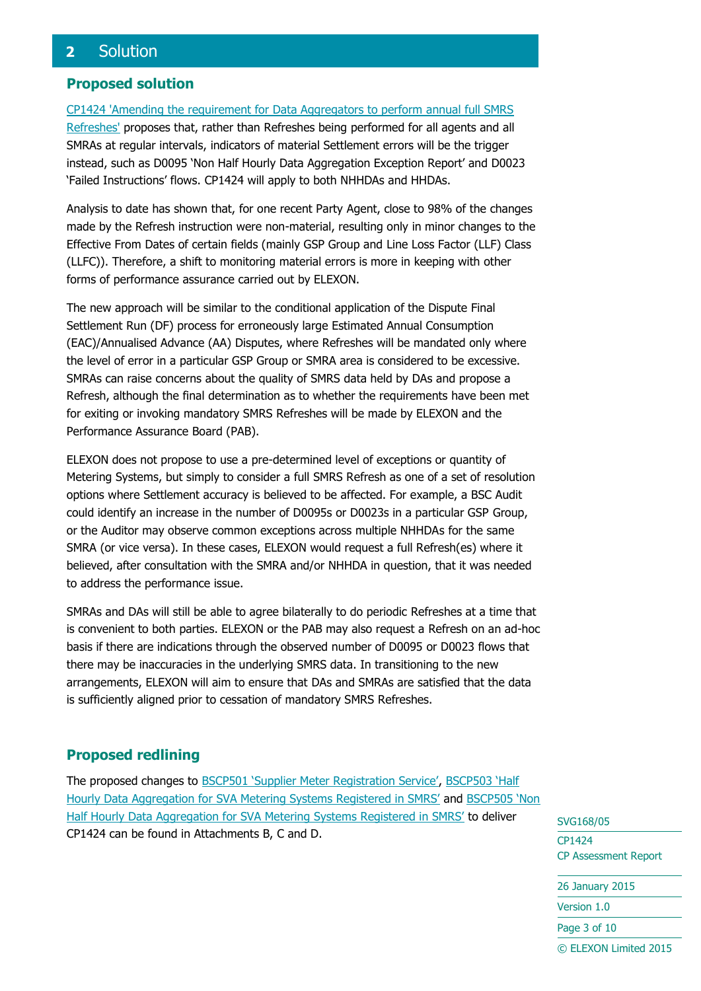## <span id="page-2-0"></span>**2** Solution

### **Proposed solution**

[CP1424 'Amending the requirement for Data Aggregators to perform annual full SMRS](http://www.elexon.co.uk/change-proposal/cp1424/)  [Refreshes'](http://www.elexon.co.uk/change-proposal/cp1424/) proposes that, rather than Refreshes being performed for all agents and all SMRAs at regular intervals, indicators of material Settlement errors will be the trigger instead, such as D0095 'Non Half Hourly Data Aggregation Exception Report' and D0023 'Failed Instructions' flows. CP1424 will apply to both NHHDAs and HHDAs.

Analysis to date has shown that, for one recent Party Agent, close to 98% of the changes made by the Refresh instruction were non-material, resulting only in minor changes to the Effective From Dates of certain fields (mainly GSP Group and Line Loss Factor (LLF) Class (LLFC)). Therefore, a shift to monitoring material errors is more in keeping with other forms of performance assurance carried out by ELEXON.

The new approach will be similar to the conditional application of the Dispute Final Settlement Run (DF) process for erroneously large Estimated Annual Consumption (EAC)/Annualised Advance (AA) Disputes, where Refreshes will be mandated only where the level of error in a particular GSP Group or SMRA area is considered to be excessive. SMRAs can raise concerns about the quality of SMRS data held by DAs and propose a Refresh, although the final determination as to whether the requirements have been met for exiting or invoking mandatory SMRS Refreshes will be made by ELEXON and the Performance Assurance Board (PAB).

ELEXON does not propose to use a pre-determined level of exceptions or quantity of Metering Systems, but simply to consider a full SMRS Refresh as one of a set of resolution options where Settlement accuracy is believed to be affected. For example, a BSC Audit could identify an increase in the number of D0095s or D0023s in a particular GSP Group, or the Auditor may observe common exceptions across multiple NHHDAs for the same SMRA (or vice versa). In these cases, ELEXON would request a full Refresh(es) where it believed, after consultation with the SMRA and/or NHHDA in question, that it was needed to address the performance issue.

SMRAs and DAs will still be able to agree bilaterally to do periodic Refreshes at a time that is convenient to both parties. ELEXON or the PAB may also request a Refresh on an ad-hoc basis if there are indications through the observed number of D0095 or D0023 flows that there may be inaccuracies in the underlying SMRS data. In transitioning to the new arrangements, ELEXON will aim to ensure that DAs and SMRAs are satisfied that the data is sufficiently aligned prior to cessation of mandatory SMRS Refreshes.

## **Proposed redlining**

The proposed changes to [BSCP501 'Supplier Meter Registration Service'](http://www.elexon.co.uk/bsc-related-documents/related-documents/bscps/), [BSCP503 'Half](http://www.elexon.co.uk/bsc-related-documents/related-documents/bscps/)  [Hourly Data Aggregation for SVA Metering Systems Registered in SMRS'](http://www.elexon.co.uk/bsc-related-documents/related-documents/bscps/) and [BSCP505 'Non](http://www.elexon.co.uk/bsc-related-documents/related-documents/bscps/)  [Half Hourly Data Aggregation for SVA Metering Systems Registered in SMRS'](http://www.elexon.co.uk/bsc-related-documents/related-documents/bscps/) to deliver CP1424 can be found in Attachments B, C and D.

SVG168/05 CP1424 CP Assessment Report 26 January 2015 Version 1.0 Page 3 of 10 © ELEXON Limited 2015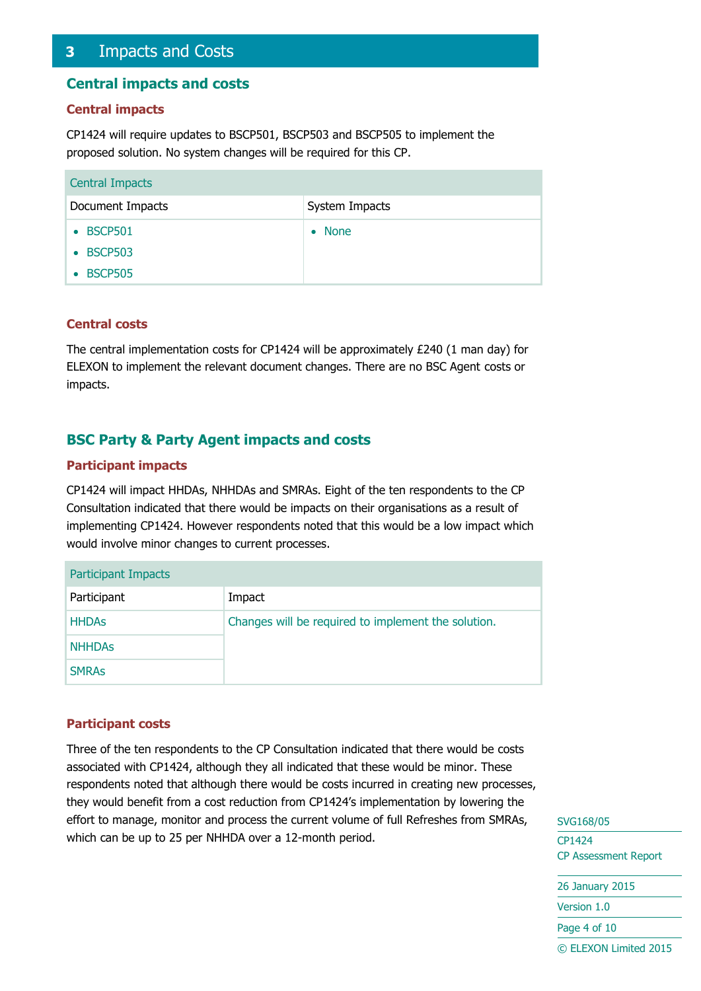## <span id="page-3-0"></span>**3** Impacts and Costs

#### **Central impacts and costs**

#### **Central impacts**

CP1424 will require updates to BSCP501, BSCP503 and BSCP505 to implement the proposed solution. No system changes will be required for this CP.

| <b>Central Impacts</b> |                |  |  |
|------------------------|----------------|--|--|
| Document Impacts       | System Impacts |  |  |
| • BSCP501              | $\bullet$ None |  |  |
| • BSCP503              |                |  |  |
| • BSCP505              |                |  |  |

#### **Central costs**

The central implementation costs for CP1424 will be approximately £240 (1 man day) for ELEXON to implement the relevant document changes. There are no BSC Agent costs or impacts.

### **BSC Party & Party Agent impacts and costs**

#### **Participant impacts**

CP1424 will impact HHDAs, NHHDAs and SMRAs. Eight of the ten respondents to the CP Consultation indicated that there would be impacts on their organisations as a result of implementing CP1424. However respondents noted that this would be a low impact which would involve minor changes to current processes.

| <b>Participant Impacts</b>                          |  |  |  |
|-----------------------------------------------------|--|--|--|
| Impact                                              |  |  |  |
| Changes will be required to implement the solution. |  |  |  |
|                                                     |  |  |  |
|                                                     |  |  |  |
|                                                     |  |  |  |

#### **Participant costs**

Three of the ten respondents to the CP Consultation indicated that there would be costs associated with CP1424, although they all indicated that these would be minor. These respondents noted that although there would be costs incurred in creating new processes, they would benefit from a cost reduction from CP1424's implementation by lowering the effort to manage, monitor and process the current volume of full Refreshes from SMRAs, which can be up to 25 per NHHDA over a 12-month period.

SVG168/05 CP1424 CP Assessment Report 26 January 2015 Version 1.0 Page 4 of 10 © ELEXON Limited 2015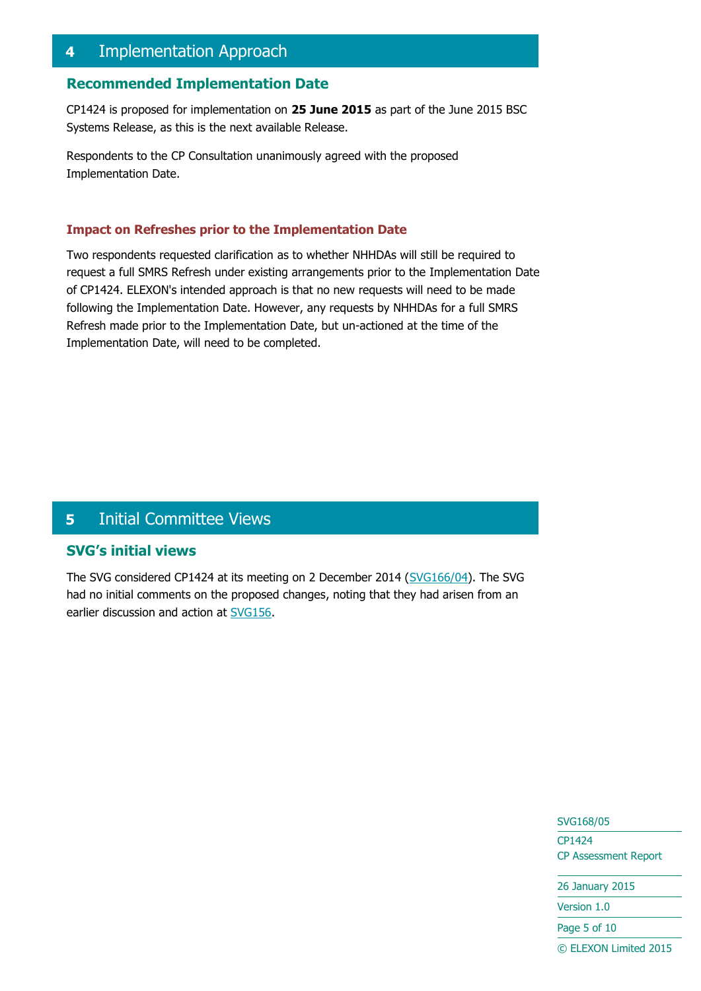## <span id="page-4-0"></span>**4** Implementation Approach

#### **Recommended Implementation Date**

CP1424 is proposed for implementation on **25 June 2015** as part of the June 2015 BSC Systems Release, as this is the next available Release.

Respondents to the CP Consultation unanimously agreed with the proposed Implementation Date.

#### **Impact on Refreshes prior to the Implementation Date**

Two respondents requested clarification as to whether NHHDAs will still be required to request a full SMRS Refresh under existing arrangements prior to the Implementation Date of CP1424. ELEXON's intended approach is that no new requests will need to be made following the Implementation Date. However, any requests by NHHDAs for a full SMRS Refresh made prior to the Implementation Date, but un-actioned at the time of the Implementation Date, will need to be completed.

## <span id="page-4-1"></span>**5** Initial Committee Views

#### **SVG's initial views**

The SVG considered CP1424 at its meeting on 2 December 2014 [\(SVG166/04\)](http://www.elexon.co.uk/meeting/svg-166/). The SVG had no initial comments on the proposed changes, noting that they had arisen from an earlier discussion and action at [SVG156.](https://www.elexon.co.uk/meeting/svg-156/)

> SVG168/05 CP1424 CP Assessment Report

26 January 2015

Version 1.0

Page 5 of 10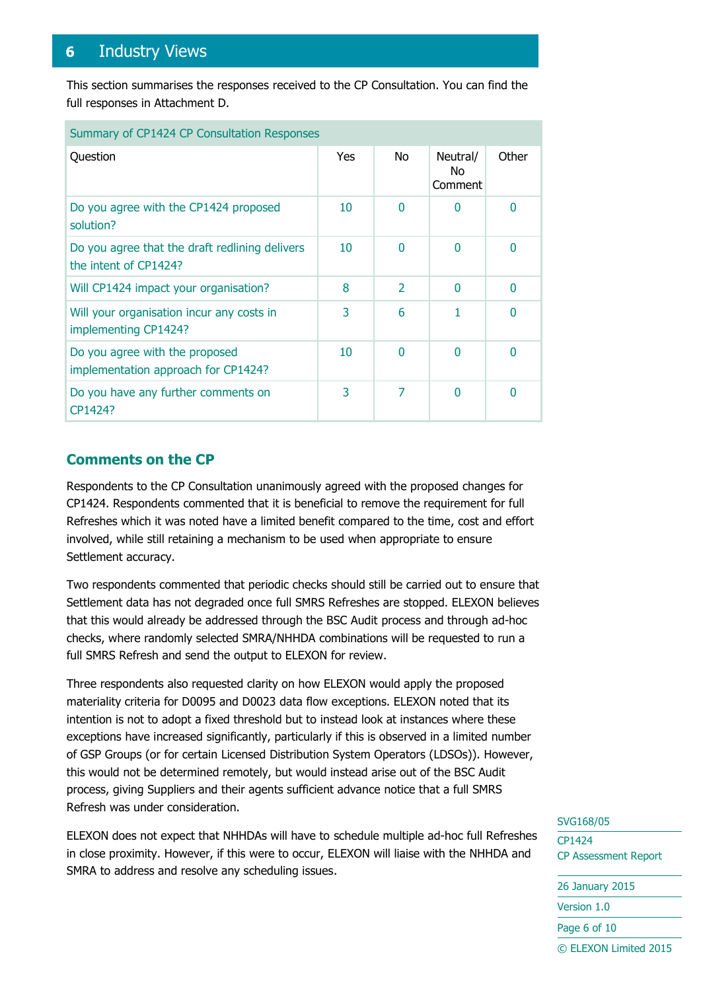## <span id="page-5-0"></span>**6** Industry Views

This section summarises the responses received to the CP Consultation. You can find the full responses in Attachment D.

| Summary of CP1424 CP Consultation Responses                             |     |                          |                            |          |
|-------------------------------------------------------------------------|-----|--------------------------|----------------------------|----------|
| Question                                                                | Yes | No.                      | Neutral/<br>No.<br>Comment | Other    |
| Do you agree with the CP1424 proposed<br>solution?                      | 10  | $\Omega$                 | O                          | $\Omega$ |
| Do you agree that the draft redlining delivers<br>the intent of CP1424? | 10  | $\Omega$                 | 0                          | $\Omega$ |
| Will CP1424 impact your organisation?                                   | 8   | $\overline{\phantom{a}}$ | 0                          | $\Omega$ |
| Will your organisation incur any costs in<br>implementing CP1424?       | 3   | 6                        |                            | 0        |
| Do you agree with the proposed<br>implementation approach for CP1424?   | 10  | $\Omega$                 | O                          | 0        |
| Do you have any further comments on<br>CP1424?                          | 3   | 7                        | N                          | 0        |

## **Comments on the CP**

Respondents to the CP Consultation unanimously agreed with the proposed changes for CP1424. Respondents commented that it is beneficial to remove the requirement for full Refreshes which it was noted have a limited benefit compared to the time, cost and effort involved, while still retaining a mechanism to be used when appropriate to ensure Settlement accuracy.

Two respondents commented that periodic checks should still be carried out to ensure that Settlement data has not degraded once full SMRS Refreshes are stopped. ELEXON believes that this would already be addressed through the BSC Audit process and through ad-hoc checks, where randomly selected SMRA/NHHDA combinations will be requested to run a full SMRS Refresh and send the output to ELEXON for review.

Three respondents also requested clarity on how ELEXON would apply the proposed materiality criteria for D0095 and D0023 data flow exceptions. ELEXON noted that its intention is not to adopt a fixed threshold but to instead look at instances where these exceptions have increased significantly, particularly if this is observed in a limited number of GSP Groups (or for certain Licensed Distribution System Operators (LDSOs)). However, this would not be determined remotely, but would instead arise out of the BSC Audit process, giving Suppliers and their agents sufficient advance notice that a full SMRS Refresh was under consideration.

ELEXON does not expect that NHHDAs will have to schedule multiple ad-hoc full Refreshes in close proximity. However, if this were to occur, ELEXON will liaise with the NHHDA and SMRA to address and resolve any scheduling issues.

#### SVG168/05

CP1424 CP Assessment Report 26 January 2015 Version 1.0 Page 6 of 10 © ELEXON Limited 2015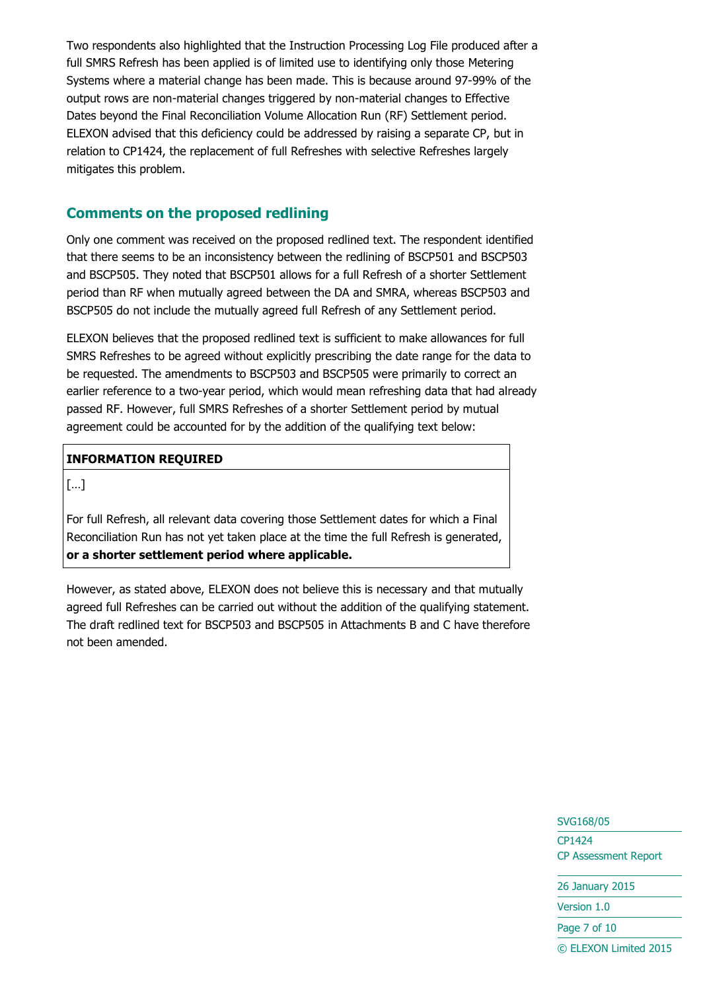Two respondents also highlighted that the Instruction Processing Log File produced after a full SMRS Refresh has been applied is of limited use to identifying only those Metering Systems where a material change has been made. This is because around 97-99% of the output rows are non-material changes triggered by non-material changes to Effective Dates beyond the Final Reconciliation Volume Allocation Run (RF) Settlement period. ELEXON advised that this deficiency could be addressed by raising a separate CP, but in relation to CP1424, the replacement of full Refreshes with selective Refreshes largely mitigates this problem.

## **Comments on the proposed redlining**

Only one comment was received on the proposed redlined text. The respondent identified that there seems to be an inconsistency between the redlining of BSCP501 and BSCP503 and BSCP505. They noted that BSCP501 allows for a full Refresh of a shorter Settlement period than RF when mutually agreed between the DA and SMRA, whereas BSCP503 and BSCP505 do not include the mutually agreed full Refresh of any Settlement period.

ELEXON believes that the proposed redlined text is sufficient to make allowances for full SMRS Refreshes to be agreed without explicitly prescribing the date range for the data to be requested. The amendments to BSCP503 and BSCP505 were primarily to correct an earlier reference to a two-year period, which would mean refreshing data that had already passed RF. However, full SMRS Refreshes of a shorter Settlement period by mutual agreement could be accounted for by the addition of the qualifying text below:

#### **INFORMATION REQUIRED**

[…]

For full Refresh, all relevant data covering those Settlement dates for which a Final Reconciliation Run has not yet taken place at the time the full Refresh is generated, **or a shorter settlement period where applicable.**

However, as stated above, ELEXON does not believe this is necessary and that mutually agreed full Refreshes can be carried out without the addition of the qualifying statement. The draft redlined text for BSCP503 and BSCP505 in Attachments B and C have therefore not been amended.

## SVG168/05 CP1424 CP Assessment Report

26 January 2015

Version 1.0

Page 7 of 10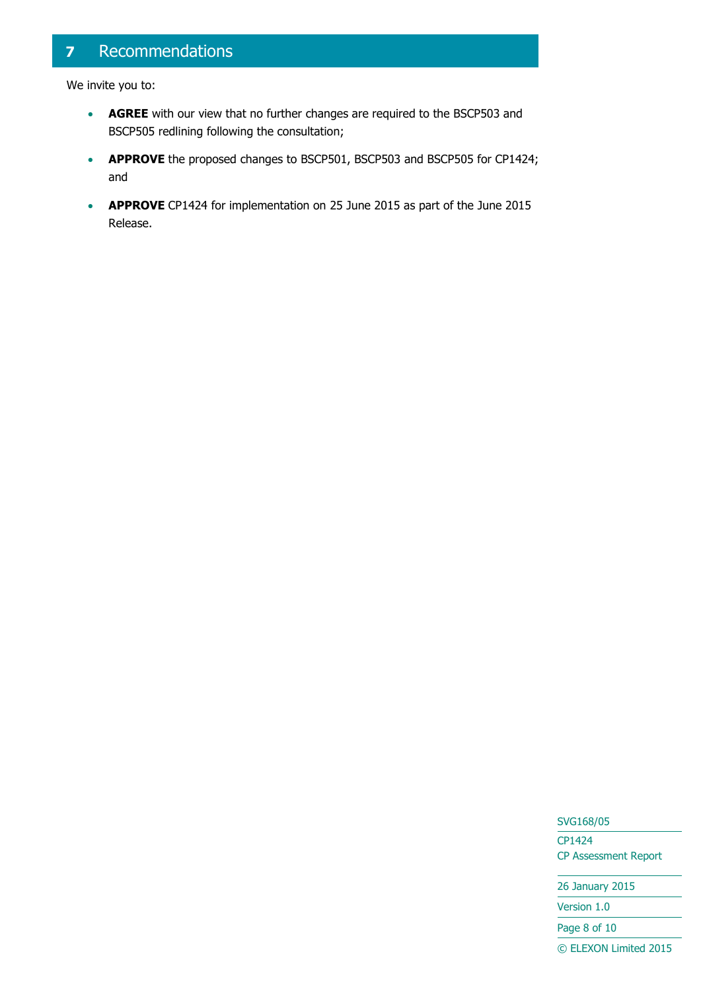## <span id="page-7-0"></span>**7** Recommendations

We invite you to:

- **AGREE** with our view that no further changes are required to the BSCP503 and BSCP505 redlining following the consultation;
- **APPROVE** the proposed changes to BSCP501, BSCP503 and BSCP505 for CP1424; and
- **APPROVE** CP1424 for implementation on 25 June 2015 as part of the June 2015 Release.

SVG168/05 CP1424 CP Assessment Report

26 January 2015

Version 1.0

Page 8 of 10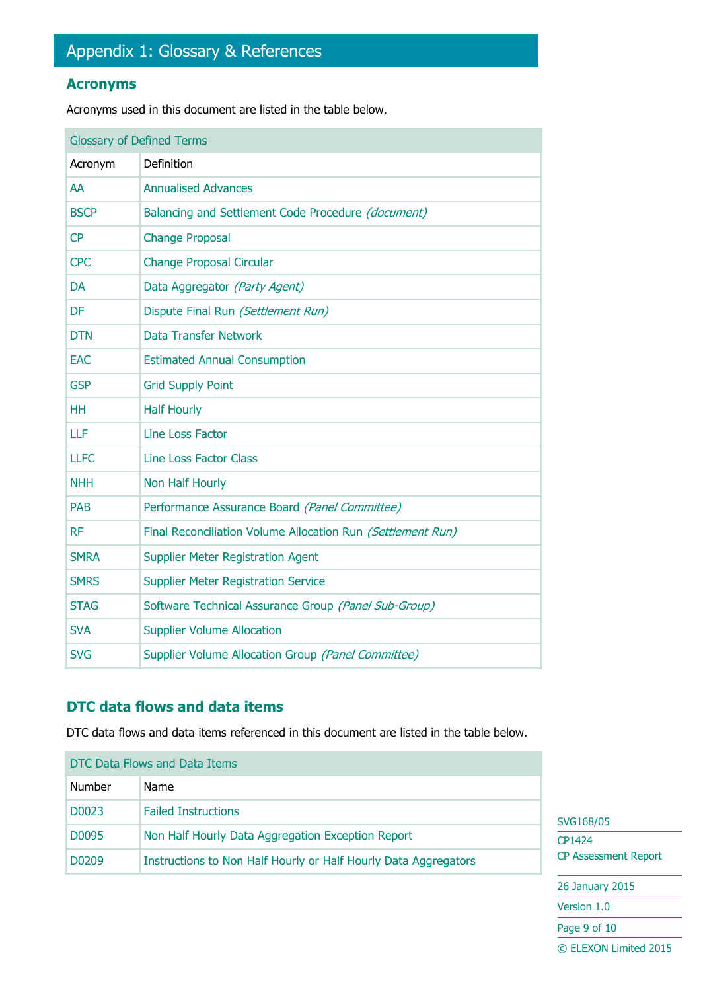## <span id="page-8-0"></span>**Acronyms**

Acronyms used in this document are listed in the table below.

| <b>Glossary of Defined Terms</b> |                                                             |  |
|----------------------------------|-------------------------------------------------------------|--|
| Acronym                          | Definition                                                  |  |
| AA                               | <b>Annualised Advances</b>                                  |  |
| <b>BSCP</b>                      | Balancing and Settlement Code Procedure (document)          |  |
| CP                               | <b>Change Proposal</b>                                      |  |
| <b>CPC</b>                       | <b>Change Proposal Circular</b>                             |  |
| <b>DA</b>                        | Data Aggregator (Party Agent)                               |  |
| <b>DF</b>                        | Dispute Final Run (Settlement Run)                          |  |
| <b>DTN</b>                       | <b>Data Transfer Network</b>                                |  |
| <b>EAC</b>                       | <b>Estimated Annual Consumption</b>                         |  |
| <b>GSP</b>                       | <b>Grid Supply Point</b>                                    |  |
| <b>HH</b>                        | <b>Half Hourly</b>                                          |  |
| LLF                              | Line Loss Factor                                            |  |
| <b>LLFC</b>                      | <b>Line Loss Factor Class</b>                               |  |
| <b>NHH</b>                       | Non Half Hourly                                             |  |
| <b>PAB</b>                       | Performance Assurance Board (Panel Committee)               |  |
| <b>RF</b>                        | Final Reconciliation Volume Allocation Run (Settlement Run) |  |
| <b>SMRA</b>                      | <b>Supplier Meter Registration Agent</b>                    |  |
| <b>SMRS</b>                      | <b>Supplier Meter Registration Service</b>                  |  |
| <b>STAG</b>                      | Software Technical Assurance Group (Panel Sub-Group)        |  |
| <b>SVA</b>                       | <b>Supplier Volume Allocation</b>                           |  |
| <b>SVG</b>                       | Supplier Volume Allocation Group (Panel Committee)          |  |

## **DTC data flows and data items**

DTC data flows and data items referenced in this document are listed in the table below.

| DTC Data Flows and Data Items |                                                                 |                  |
|-------------------------------|-----------------------------------------------------------------|------------------|
| Number                        | Name                                                            |                  |
| D0023                         | <b>Failed Instructions</b>                                      | SVG <sub>1</sub> |
| D0095                         | Non Half Hourly Data Aggregation Exception Report               | CP142            |
| D <sub>0</sub> 209            | Instructions to Non Half Hourly or Half Hourly Data Aggregators | <b>CP As</b>     |

68/05 24 sessment Report

26 January 2015

Version 1.0

Page 9 of 10